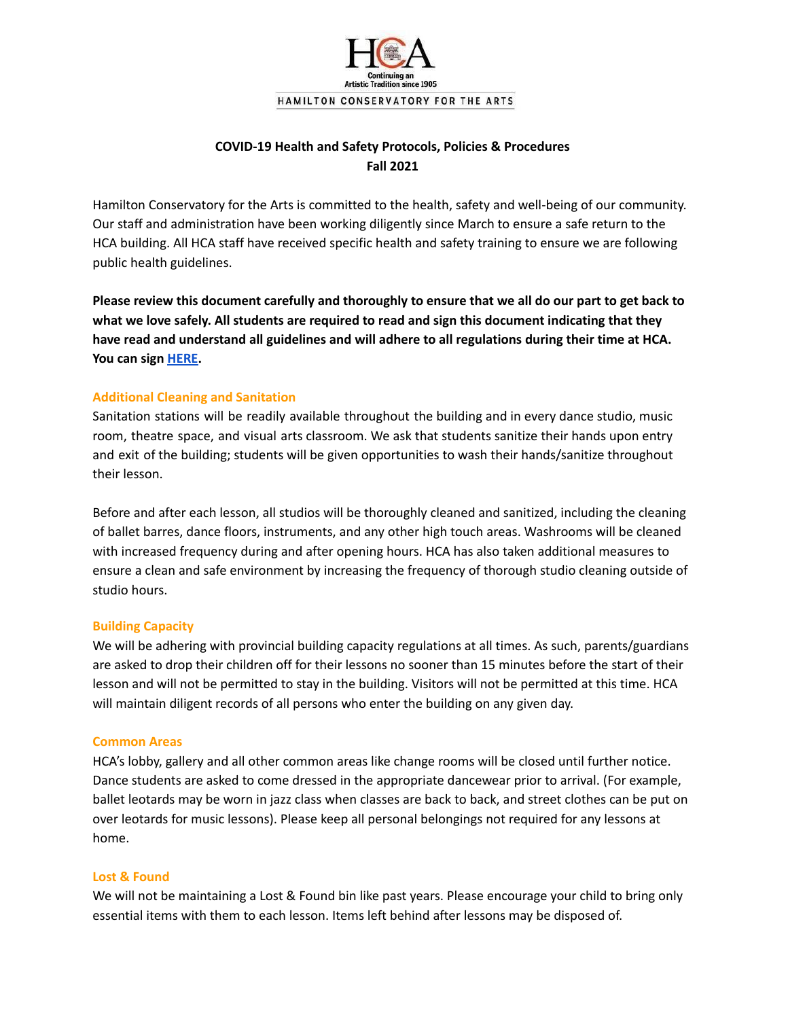

# **COVID-19 Health and Safety Protocols, Policies & Procedures Fall 2021**

Hamilton Conservatory for the Arts is committed to the health, safety and well-being of our community. Our staff and administration have been working diligently since March to ensure a safe return to the HCA building. All HCA staff have received specific health and safety training to ensure we are following public health guidelines.

Please review this document carefully and thoroughly to ensure that we all do our part to get back to **what we love safely. All students are required to read and sign this document indicating that they have read and understand all guidelines and will adhere to all regulations during their time at HCA. You can sign [HERE.](https://forms.gle/YLYCNjDoNJSdUKSD8)**

## **Additional Cleaning and Sanitation**

Sanitation stations will be readily available throughout the building and in every dance studio, music room, theatre space, and visual arts classroom. We ask that students sanitize their hands upon entry and exit of the building; students will be given opportunities to wash their hands/sanitize throughout their lesson.

Before and after each lesson, all studios will be thoroughly cleaned and sanitized, including the cleaning of ballet barres, dance floors, instruments, and any other high touch areas. Washrooms will be cleaned with increased frequency during and after opening hours. HCA has also taken additional measures to ensure a clean and safe environment by increasing the frequency of thorough studio cleaning outside of studio hours.

#### **Building Capacity**

We will be adhering with provincial building capacity regulations at all times. As such, parents/guardians are asked to drop their children off for their lessons no sooner than 15 minutes before the start of their lesson and will not be permitted to stay in the building. Visitors will not be permitted at this time. HCA will maintain diligent records of all persons who enter the building on any given day.

#### **Common Areas**

HCA's lobby, gallery and all other common areas like change rooms will be closed until further notice. Dance students are asked to come dressed in the appropriate dancewear prior to arrival. (For example, ballet leotards may be worn in jazz class when classes are back to back, and street clothes can be put on over leotards for music lessons). Please keep all personal belongings not required for any lessons at home.

#### **Lost & Found**

We will not be maintaining a Lost & Found bin like past years. Please encourage your child to bring only essential items with them to each lesson. Items left behind after lessons may be disposed of.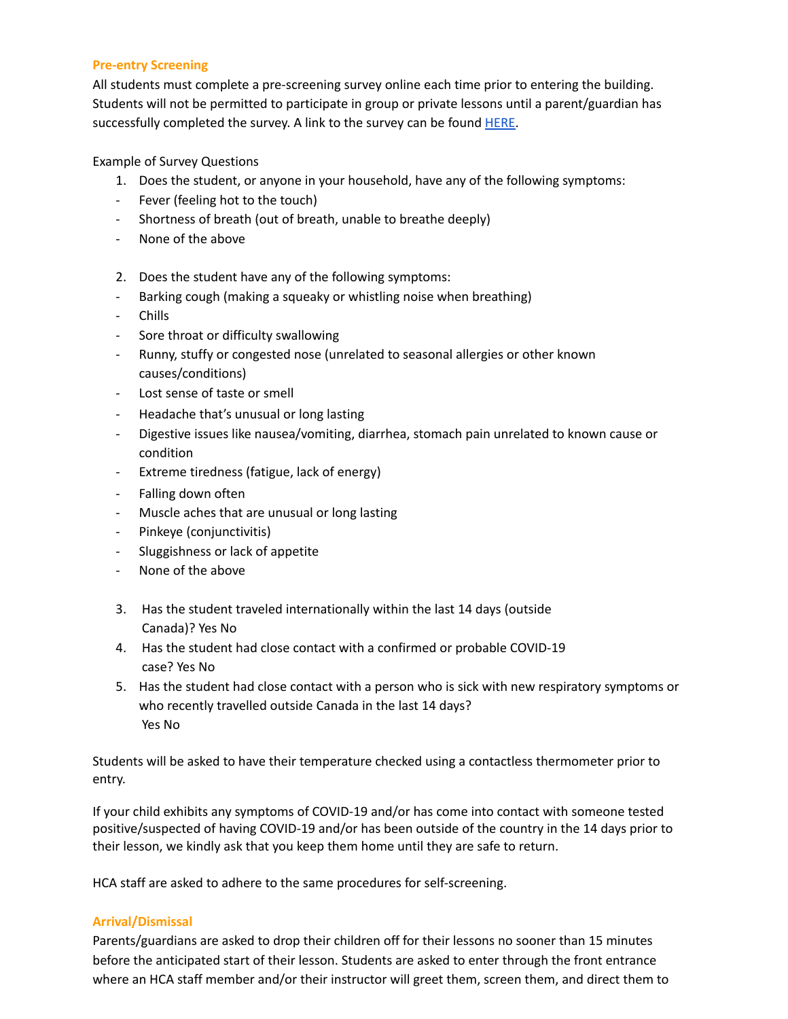## **Pre-entry Screening**

All students must complete a pre-screening survey online each time prior to entering the building. Students will not be permitted to participate in group or private lessons until a parent/guardian has successfully completed the survey. A link to the survey can be found [HERE.](https://forms.gle/o5cNSXsQi6PGKtgW6)

## Example of Survey Questions

- 1. Does the student, or anyone in your household, have any of the following symptoms:
- Fever (feeling hot to the touch)
- Shortness of breath (out of breath, unable to breathe deeply)
- None of the above
- 2. Does the student have any of the following symptoms:
- Barking cough (making a squeaky or whistling noise when breathing)
- Chills
- Sore throat or difficulty swallowing
- Runny, stuffy or congested nose (unrelated to seasonal allergies or other known causes/conditions)
- Lost sense of taste or smell
- Headache that's unusual or long lasting
- Digestive issues like nausea/vomiting, diarrhea, stomach pain unrelated to known cause or condition
- Extreme tiredness (fatigue, lack of energy)
- Falling down often
- Muscle aches that are unusual or long lasting
- Pinkeye (conjunctivitis)
- Sluggishness or lack of appetite
- None of the above
- 3. Has the student traveled internationally within the last 14 days (outside Canada)? Yes No
- 4. Has the student had close contact with a confirmed or probable COVID-19 case? Yes No
- 5. Has the student had close contact with a person who is sick with new respiratory symptoms or who recently travelled outside Canada in the last 14 days? Yes No

Students will be asked to have their temperature checked using a contactless thermometer prior to entry.

If your child exhibits any symptoms of COVID-19 and/or has come into contact with someone tested positive/suspected of having COVID-19 and/or has been outside of the country in the 14 days prior to their lesson, we kindly ask that you keep them home until they are safe to return.

HCA staff are asked to adhere to the same procedures for self-screening.

#### **Arrival/Dismissal**

Parents/guardians are asked to drop their children off for their lessons no sooner than 15 minutes before the anticipated start of their lesson. Students are asked to enter through the front entrance where an HCA staff member and/or their instructor will greet them, screen them, and direct them to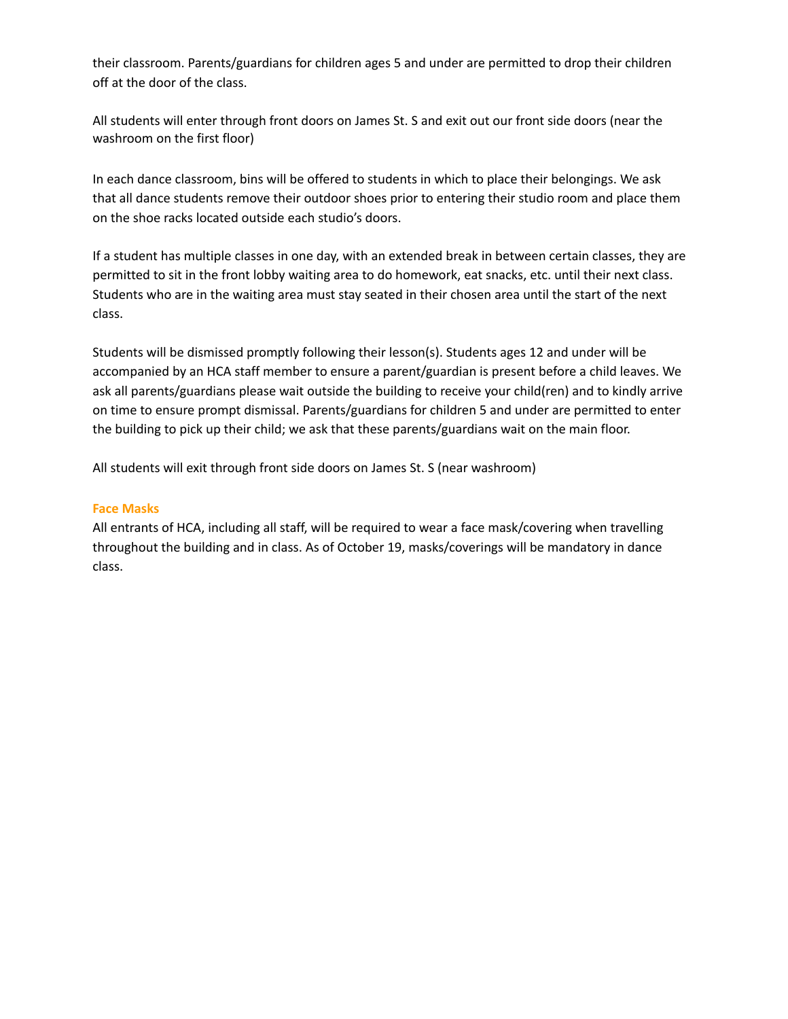their classroom. Parents/guardians for children ages 5 and under are permitted to drop their children off at the door of the class.

All students will enter through front doors on James St. S and exit out our front side doors (near the washroom on the first floor)

In each dance classroom, bins will be offered to students in which to place their belongings. We ask that all dance students remove their outdoor shoes prior to entering their studio room and place them on the shoe racks located outside each studio's doors.

If a student has multiple classes in one day, with an extended break in between certain classes, they are permitted to sit in the front lobby waiting area to do homework, eat snacks, etc. until their next class. Students who are in the waiting area must stay seated in their chosen area until the start of the next class.

Students will be dismissed promptly following their lesson(s). Students ages 12 and under will be accompanied by an HCA staff member to ensure a parent/guardian is present before a child leaves. We ask all parents/guardians please wait outside the building to receive your child(ren) and to kindly arrive on time to ensure prompt dismissal. Parents/guardians for children 5 and under are permitted to enter the building to pick up their child; we ask that these parents/guardians wait on the main floor.

All students will exit through front side doors on James St. S (near washroom)

## **Face Masks**

All entrants of HCA, including all staff, will be required to wear a face mask/covering when travelling throughout the building and in class. As of October 19, masks/coverings will be mandatory in dance class.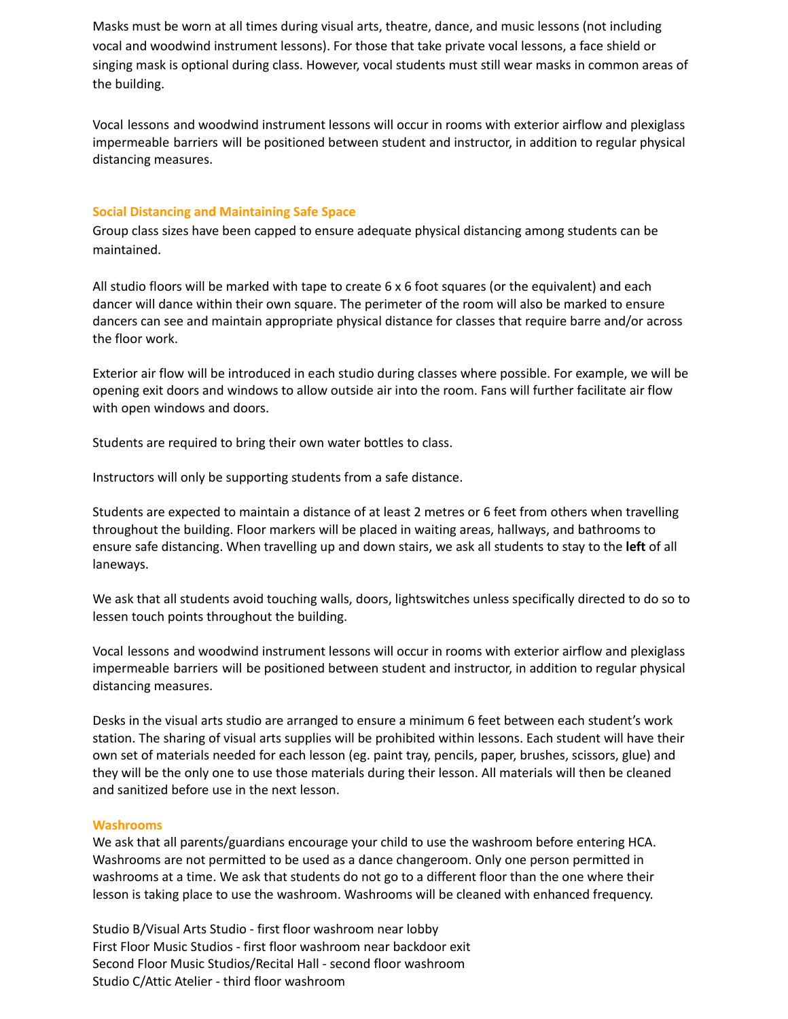Masks must be worn at all times during visual arts, theatre, dance, and music lessons (not including vocal and woodwind instrument lessons). For those that take private vocal lessons, a face shield or singing mask is optional during class. However, vocal students must still wear masks in common areas of the building.

Vocal lessons and woodwind instrument lessons will occur in rooms with exterior airflow and plexiglass impermeable barriers will be positioned between student and instructor, in addition to regular physical distancing measures.

### **Social Distancing and Maintaining Safe Space**

Group class sizes have been capped to ensure adequate physical distancing among students can be maintained.

All studio floors will be marked with tape to create 6 x 6 foot squares (or the equivalent) and each dancer will dance within their own square. The perimeter of the room will also be marked to ensure dancers can see and maintain appropriate physical distance for classes that require barre and/or across the floor work.

Exterior air flow will be introduced in each studio during classes where possible. For example, we will be opening exit doors and windows to allow outside air into the room. Fans will further facilitate air flow with open windows and doors.

Students are required to bring their own water bottles to class.

Instructors will only be supporting students from a safe distance.

Students are expected to maintain a distance of at least 2 metres or 6 feet from others when travelling throughout the building. Floor markers will be placed in waiting areas, hallways, and bathrooms to ensure safe distancing. When travelling up and down stairs, we ask all students to stay to the **left** of all laneways.

We ask that all students avoid touching walls, doors, lightswitches unless specifically directed to do so to lessen touch points throughout the building.

Vocal lessons and woodwind instrument lessons will occur in rooms with exterior airflow and plexiglass impermeable barriers will be positioned between student and instructor, in addition to regular physical distancing measures.

Desks in the visual arts studio are arranged to ensure a minimum 6 feet between each student's work station. The sharing of visual arts supplies will be prohibited within lessons. Each student will have their own set of materials needed for each lesson (eg. paint tray, pencils, paper, brushes, scissors, glue) and they will be the only one to use those materials during their lesson. All materials will then be cleaned and sanitized before use in the next lesson.

#### **Washrooms**

We ask that all parents/guardians encourage your child to use the washroom before entering HCA. Washrooms are not permitted to be used as a dance changeroom. Only one person permitted in washrooms at a time. We ask that students do not go to a different floor than the one where their lesson is taking place to use the washroom. Washrooms will be cleaned with enhanced frequency.

Studio B/Visual Arts Studio - first floor washroom near lobby First Floor Music Studios - first floor washroom near backdoor exit Second Floor Music Studios/Recital Hall - second floor washroom Studio C/Attic Atelier - third floor washroom